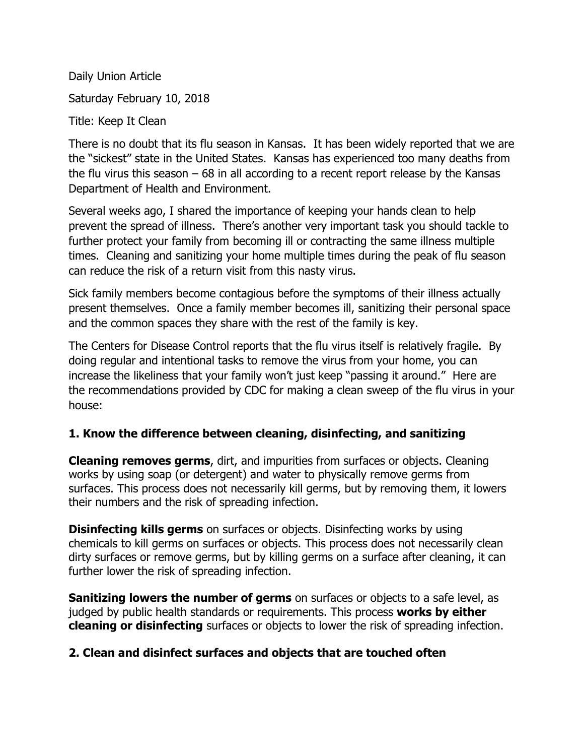Daily Union Article Saturday February 10, 2018 Title: Keep It Clean

There is no doubt that its flu season in Kansas. It has been widely reported that we are the "sickest" state in the United States. Kansas has experienced too many deaths from the flu virus this season  $-68$  in all according to a recent report release by the Kansas Department of Health and Environment.

Several weeks ago, I shared the importance of keeping your hands clean to help prevent the spread of illness. There's another very important task you should tackle to further protect your family from becoming ill or contracting the same illness multiple times. Cleaning and sanitizing your home multiple times during the peak of flu season can reduce the risk of a return visit from this nasty virus.

Sick family members become contagious before the symptoms of their illness actually present themselves. Once a family member becomes ill, sanitizing their personal space and the common spaces they share with the rest of the family is key.

The Centers for Disease Control reports that the flu virus itself is relatively fragile. By doing regular and intentional tasks to remove the virus from your home, you can increase the likeliness that your family won't just keep "passing it around." Here are the recommendations provided by CDC for making a clean sweep of the flu virus in your house:

### **1. Know the difference between cleaning, disinfecting, and sanitizing**

**Cleaning removes germs**, dirt, and impurities from surfaces or objects. Cleaning works by using soap (or detergent) and water to physically remove germs from surfaces. This process does not necessarily kill germs, but by removing them, it lowers their numbers and the risk of spreading infection.

**Disinfecting kills germs** on surfaces or objects. Disinfecting works by using chemicals to kill germs on surfaces or objects. This process does not necessarily clean dirty surfaces or remove germs, but by killing germs on a surface after cleaning, it can further lower the risk of spreading infection.

**Sanitizing lowers the number of germs** on surfaces or objects to a safe level, as judged by public health standards or requirements. This process **works by either cleaning or disinfecting** surfaces or objects to lower the risk of spreading infection.

### **2. Clean and disinfect surfaces and objects that are touched often**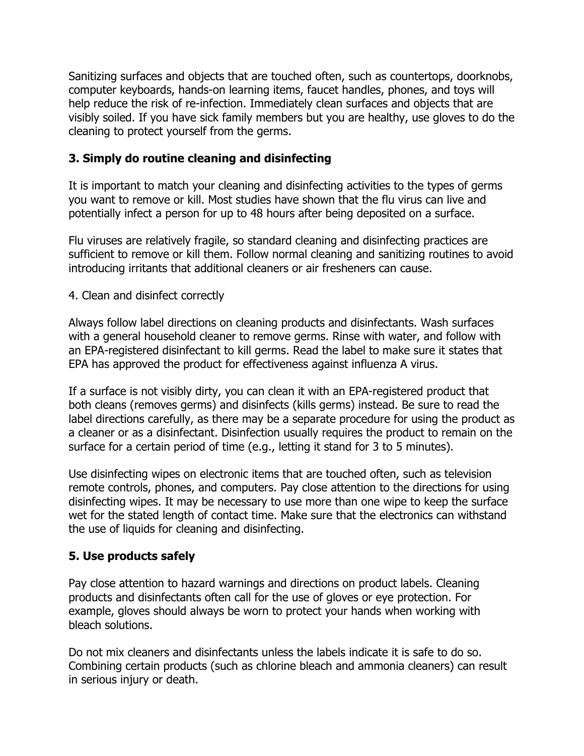Sanitizing surfaces and objects that are touched often, such as countertops, doorknobs, computer keyboards, hands-on learning items, faucet handles, phones, and toys will help reduce the risk of re-infection. Immediately clean surfaces and objects that are visibly soiled. If you have sick family members but you are healthy, use gloves to do the cleaning to protect yourself from the germs.

## **3. Simply do routine cleaning and disinfecting**

It is important to match your cleaning and disinfecting activities to the types of germs you want to remove or kill. Most studies have shown that the flu virus can live and potentially infect a person for up to 48 hours after being deposited on a surface.

Flu viruses are relatively fragile, so standard cleaning and disinfecting practices are sufficient to remove or kill them. Follow normal cleaning and sanitizing routines to avoid introducing irritants that additional cleaners or air fresheners can cause.

4. Clean and disinfect correctly

Always follow label directions on cleaning products and disinfectants. Wash surfaces with a general household cleaner to remove germs. Rinse with water, and follow with an EPA-registered disinfectant to kill germs. Read the label to make sure it states that EPA has approved the product for effectiveness against influenza A virus.

If a surface is not visibly dirty, you can clean it with an EPA-registered product that both cleans (removes germs) and disinfects (kills germs) instead. Be sure to read the label directions carefully, as there may be a separate procedure for using the product as a cleaner or as a disinfectant. Disinfection usually requires the product to remain on the surface for a certain period of time (e.g., letting it stand for 3 to 5 minutes).

Use disinfecting wipes on electronic items that are touched often, such as television remote controls, phones, and computers. Pay close attention to the directions for using disinfecting wipes. It may be necessary to use more than one wipe to keep the surface wet for the stated length of contact time. Make sure that the electronics can withstand the use of liquids for cleaning and disinfecting.

# **5. Use products safely**

Pay close attention to hazard warnings and directions on product labels. Cleaning products and disinfectants often call for the use of gloves or eye protection. For example, gloves should always be worn to protect your hands when working with bleach solutions.

Do not mix cleaners and disinfectants unless the labels indicate it is safe to do so. Combining certain products (such as chlorine bleach and ammonia cleaners) can result in serious injury or death.